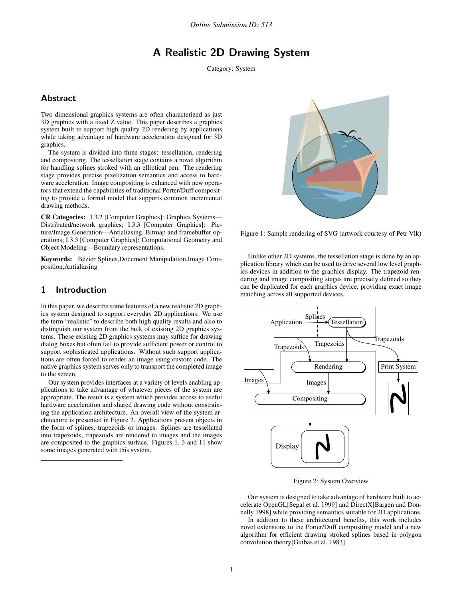# A Realistic 2D Drawing System

Category: System

# **Abstract**

Two dimensional graphics systems are often characterized as just 3D graphics with a fixed Z value. This paper describes a graphics system built to support high quality 2D rendering by applications while taking advantage of hardware acceleration designed for 3D graphics.

The system is divided into three stages: tessellation, rendering and compositing. The tessellation stage contains a novel algorithm for handling splines stroked with an elliptical pen. The rendering stage provides precise pixelization semantics and access to hardware acceleration. Image compositing is enhanced with new operators that extend the capabilities of traditional Porter/Duff compositing to provide a formal model that supports common incremental drawing methods.

**CR Categories:** I.3.2 [Computer Graphics]: Graphics Systems— Distributed/network graphics; I.3.3 [Computer Graphics]: Picture/Image Generation—Antialiasing, Bitmap and framebuffer operations; I.3.5 [Computer Graphics]: Computational Geometry and Object Modeling—Boundary representations;

Keywords: Bézier Splines,Document Manipulation,Image Composition,Antialiasing

## 1 Introduction

In this paper, we describe some features of a new realistic 2D graphics system designed to support everyday 2D applications. We use the term "realistic" to describe both high quality results and also to distinguish our system from the bulk of existing 2D graphics systems. These existing 2D graphics systems may suffice for drawing dialog boxes but often fail to provide sufficient power or control to support sophisticated applications. Without such support applications are often forced to render an image using custom code. The native graphics system serves only to transport the completed image to the screen.

Our system provides interfaces at a variety of levels enabling applications to take advantage of whatever pieces of the system are appropriate. The result is a system which provides access to useful hardware acceleration and shared drawing code without constraining the application architecture. An overall view of the system architecture is presented in Figure 2. Applications present objects in the form of splines, trapezoids or images. Splines are tessellated into trapezoids, trapezoids are rendered to images and the images are composited to the graphics surface. Figures 1, 3 and 11 show some images generated with this system.



Figure 1: Sample rendering of SVG (artwork courtesy of Petr Vlk)

Unlike other 2D systems, the tessellation stage is done by an application library which can be used to drive several low level graphics devices in addition to the graphics display. The trapezoid rendering and image compositing stages are precisely defined so they can be duplicated for each graphics device, providing exact image matching across all supported devices.



Figure 2: System Overview

Our system is designed to take advantage of hardware built to accelerate OpenGL[Segal et al. 1999] and DirectX[Bargen and Donnelly 1998] while providing semantics suitable for 2D applications.

In addition to these architectural benefits, this work includes novel extensions to the Porter/Duff compositing model and a new algorithm for efficient drawing stroked splines based in polygon convolution theory[Guibas et al. 1983].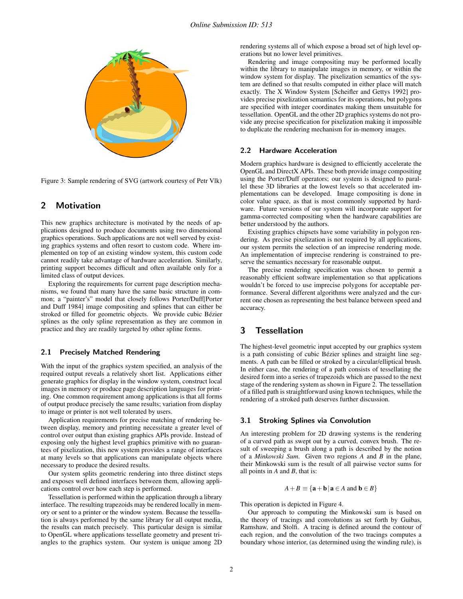

Figure 3: Sample rendering of SVG (artwork courtesy of Petr Vlk)

### 2 Motivation

This new graphics architecture is motivated by the needs of applications designed to produce documents using two dimensional graphics operations. Such applications are not well served by existing graphics systems and often resort to custom code. Where implemented on top of an existing window system, this custom code cannot readily take advantage of hardware acceleration. Similarly, printing support becomes difficult and often available only for a limited class of output devices.

Exploring the requirements for current page description mechanisms, we found that many have the same basic structure in common; a "painter's" model that closely follows Porter/Duff[Porter and Duff 1984] image compositing and splines that can either be stroked or filled for geometric objects. We provide cubic Bézier splines as the only spline representation as they are common in practice and they are readily targeted by other spline forms.

#### 2.1 Precisely Matched Rendering

With the input of the graphics system specified, an analysis of the required output reveals a relatively short list. Applications either generate graphics for display in the window system, construct local images in memory or produce page description languages for printing. One common requirement among applications is that all forms of output produce precisely the same results; variation from display to image or printer is not well tolerated by users.

Application requirements for precise matching of rendering between display, memory and printing necessitate a greater level of control over output than existing graphics APIs provide. Instead of exposing only the highest level graphics primitive with no guarantees of pixelization, this new system provides a range of interfaces at many levels so that applications can manipulate objects where necessary to produce the desired results.

Our system splits geometric rendering into three distinct steps and exposes well defined interfaces between them, allowing applications control over how each step is performed.

Tessellation is performed within the application through a library interface. The resulting trapezoids may be rendered locally in memory or sent to a printer or the window system. Because the tessellation is always performed by the same library for all output media, the results can match precisely. This particular design is similar to OpenGL where applications tessellate geometry and present triangles to the graphics system. Our system is unique among 2D rendering systems all of which expose a broad set of high level operations but no lower level primitives.

Rendering and image compositing may be performed locally within the library to manipulate images in memory, or within the window system for display. The pixelization semantics of the system are defined so that results computed in either place will match exactly. The X Window System [Scheifler and Gettys 1992] provides precise pixelization semantics for its operations, but polygons are specified with integer coordinates making them unsuitable for tessellation. OpenGL and the other 2D graphics systems do not provide any precise specification for pixelization making it impossible to duplicate the rendering mechanism for in-memory images.

#### 2.2 Hardware Acceleration

Modern graphics hardware is designed to efficiently accelerate the OpenGL and DirectX APIs. These both provide image compositing using the Porter/Duff operators; our system is designed to parallel these 3D libraries at the lowest levels so that accelerated implementations can be developed. Image compositing is done in color value space, as that is most commonly supported by hardware. Future versions of our system will incorporate support for gamma-corrected compositing when the hardware capabilities are better understood by the authors.

Existing graphics chipsets have some variability in polygon rendering. As precise pixelization is not required by all applications, our system permits the selection of an imprecise rendering mode. An implementation of imprecise rendering is constrained to preserve the semantics necessary for reasonable output.

The precise rendering specification was chosen to permit a reasonably efficient software implementation so that applications wouldn't be forced to use imprecise polygons for acceptable performance. Several different algorithms were analyzed and the current one chosen as representing the best balance between speed and accuracy.

# 3 Tessellation

The highest-level geometric input accepted by our graphics system is a path consisting of cubic Bézier splines and straight line segments. A path can be filled or stroked by a circular/elliptical brush. In either case, the rendering of a path consists of tessellating the desired form into a series of trapezoids which are passed to the next stage of the rendering system as shown in Figure 2. The tessellation of a filled path is straightforward using known techniques, while the rendering of a stroked path deserves further discussion.

#### 3.1 Stroking Splines via Convolution

An interesting problem for 2D drawing systems is the rendering of a curved path as swept out by a curved, convex brush. The result of sweeping a brush along a path is described by the notion of a *Minkowski Sum*. Given two regions *A* and *B* in the plane, their Minkowski sum is the result of all pairwise vector sums for all points in *A* and *B*, that is:

$$
A + B \equiv \{ \mathbf{a} + \mathbf{b} \, | \, \mathbf{a} \in A \text{ and } \mathbf{b} \in B \}
$$

This operation is depicted in Figure 4.

Our approach to computing the Minkowski sum is based on the theory of tracings and convolutions as set forth by Guibas, Ramshaw, and Stolfi. A tracing is defined around the contour of each region, and the convolution of the two tracings computes a boundary whose interior, (as determined using the winding rule), is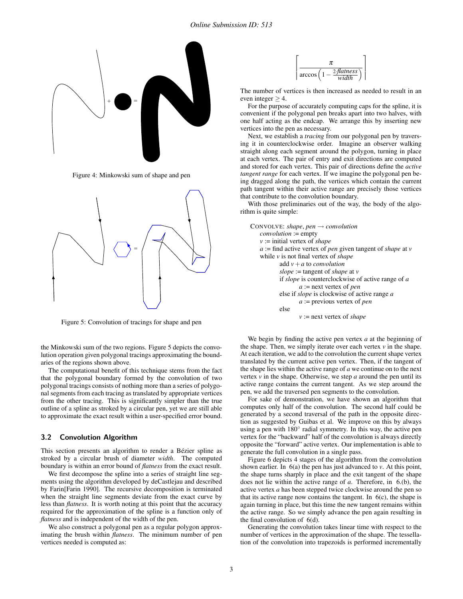

Figure 4: Minkowski sum of shape and pen



Figure 5: Convolution of tracings for shape and pen

the Minkowski sum of the two regions. Figure 5 depicts the convolution operation given polygonal tracings approximating the boundaries of the regions shown above.

The computational benefit of this technique stems from the fact that the polygonal boundary formed by the convolution of two polygonal tracings consists of nothing more than a series of polygonal segments from each tracing as translated by appropriate vertices from the other tracing. This is significantly simpler than the true outline of a spline as stroked by a circular pen, yet we are still able to approximate the exact result within a user-specified error bound.

#### 3.2 Convolution Algorithm

This section presents an algorithm to render a Bézier spline as stroked by a circular brush of diameter *width*. The computed boundary is within an error bound of *flatness* from the exact result.

We first decompose the spline into a series of straight line segments using the algorithm developed by deCastlejau and described by Farin[Farin 1990]. The recursive decomposition is terminated when the straight line segments deviate from the exact curve by less than *flatness*. It is worth noting at this point that the accuracy required for the approximation of the spline is a function only of *flatness* and is independent of the width of the pen.

We also construct a polygonal pen as a regular polygon approximating the brush within *flatness*. The minimum number of pen vertices needed is computed as:



The number of vertices is then increased as needed to result in an even integer  $\geq$  4.

For the purpose of accurately computing caps for the spline, it is convenient if the polygonal pen breaks apart into two halves, with one half acting as the endcap. We arrange this by inserting new vertices into the pen as necessary.

Next, we establish a *tracing* from our polygonal pen by traversing it in counterclockwise order. Imagine an observer walking straight along each segment around the polygon, turning in place at each vertex. The pair of entry and exit directions are computed and stored for each vertex. This pair of directions define the *active tangent range* for each vertex. If we imagine the polygonal pen being dragged along the path, the vertices which contain the current path tangent within their active range are precisely those vertices that contribute to the convolution boundary.

With those preliminaries out of the way, the body of the algorithm is quite simple:

| CONVOLVE: shape, pen $\rightarrow$ convolution                             |
|----------------------------------------------------------------------------|
| $convolution := empty$                                                     |
| $v :=$ initial vertex of <i>shape</i>                                      |
| $a :=$ find active vertex of <i>pen</i> given tangent of <i>shape</i> at v |
| while $v$ is not final vertex of <i>shape</i>                              |
| add $v + a$ to <i>convolution</i>                                          |
| slope := tangent of shape at v                                             |
| if <i>slope</i> is counterclockwise of active range of a                   |
| $a :=$ next vertex of pen                                                  |
| else if <i>slope</i> is clockwise of active range a                        |
| $a$ := previous vertex of pen                                              |
| else                                                                       |
| $v :=$ next vertex of <i>shape</i>                                         |
|                                                                            |

We begin by finding the active pen vertex *a* at the beginning of the shape. Then, we simply iterate over each vertex *v* in the shape. At each iteration, we add to the convolution the current shape vertex translated by the current active pen vertex. Then, if the tangent of the shape lies within the active range of *a* we continue on to the next vertex *v* in the shape. Otherwise, we step *a* around the pen until its active range contains the current tangent. As we step around the pen, we add the traversed pen segments to the convolution.

For sake of demonstration, we have shown an algorithm that computes only half of the convolution. The second half could be generated by a second traversal of the path in the opposite direction as suggested by Guibas et al. We improve on this by always using a pen with 180° radial symmetry. In this way, the active pen vertex for the "backward" half of the convolution is always directly opposite the "forward" active vertex. Our implementation is able to generate the full convolution in a single pass.

Figure 6 depicts 4 stages of the algorithm from the convolution shown earlier. In 6(a) the pen has just advanced to *v*. At this point, the shape turns sharply in place and the exit tangent of the shape does not lie within the active range of *a*. Therefore, in 6.(b), the active vertex *a* has been stepped twice clockwise around the pen so that its active range now contains the tangent. In  $6(c)$ , the shape is again turning in place, but this time the new tangent remains within the active range. So we simply advance the pen again resulting in the final convolution of 6(d).

Generating the convolution takes linear time with respect to the number of vertices in the approximation of the shape. The tessellation of the convolution into trapezoids is performed incrementally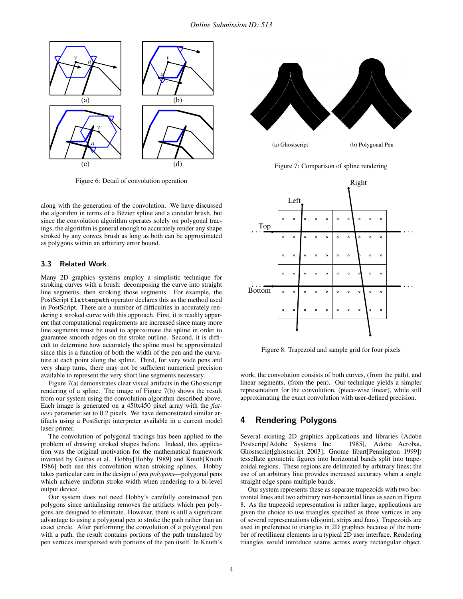

Figure 6: Detail of convolution operation

along with the generation of the convolution. We have discussed the algorithm in terms of a Bézier spline and a circular brush, but since the convolution algorithm operates solely on polygonal tracings, the algorithm is general enough to accurately render any shape stroked by any convex brush as long as both can be approximated as polygons within an arbitrary error bound.

#### 3.3 Related Work

Many 2D graphics systems employ a simplistic technique for stroking curves with a brush: decomposing the curve into straight line segments, then stroking those segments. For example, the PostScript flattenpath operator declares this as the method used in PostScript. There are a number of difficulties in accurately rendering a stroked curve with this approach. First, it is readily apparent that computational requirements are increased since many more line segments must be used to approximate the spline in order to guarantee smooth edges on the stroke outline. Second, it is difficult to determine how accurately the spline must be approximated since this is a function of both the width of the pen and the curvature at each point along the spline. Third, for very wide pens and very sharp turns, there may not be sufficient numerical precision available to represent the very short line segments necessary.

Figure 7(a) demonstrates clear visual artifacts in the Ghostscript rendering of a spline. The image of Figure 7(b) shows the result from our system using the convolution algorithm described above. Each image is generated on a 450x450 pixel array with the *flatness* parameter set to 0.2 pixels. We have demonstrated similar artifacts using a PostScript interpreter available in a current model laser printer.

The convolution of polygonal tracings has been applied to the problem of drawing stroked shapes before. Indeed, this application was the original motivation for the mathematical framework invented by Guibas et al. Hobby[Hobby 1989] and Knuth[Knuth 1986] both use this convolution when stroking splines. Hobby takes particular care in the design of *pen polygons*—polygonal pens which achieve uniform stroke width when rendering to a bi-level output device.

Our system does not need Hobby's carefully constructed pen polygons since antialiasing removes the artifacts which pen polygons are designed to eliminate. However, there is still a significant advantage to using a polygonal pen to stroke the path rather than an exact circle. After performing the convolution of a polygonal pen with a path, the result contains portions of the path translated by pen vertices interspersed with portions of the pen itself. In Knuth's



(a) Ghostscript (b) Polygonal Pen

Figure 7: Comparison of spline rendering



Figure 8: Trapezoid and sample grid for four pixels

work, the convolution consists of both curves, (from the path), and linear segments, (from the pen). Our technique yields a simpler representation for the convolution, (piece-wise linear), while still approximating the exact convolution with user-defined precision.

# 4 Rendering Polygons

Several existing 2D graphics applications and libraries (Adobe Postscript[Adobe Systems Inc. 1985], Adobe Acrobat, Postscript[Adobe Systems Inc. Ghostscript[ghostscript 2003], Gnome libart[Pennington 1999]) tessellate geometric figures into horizontal bands split into trapezoidal regions. These regions are delineated by arbitrary lines; the use of an arbitrary line provides increased accuracy when a single straight edge spans multiple bands.

Our system represents these as separate trapezoids with two horizontal lines and two arbitrary non-horizontal lines as seen in Figure 8. As the trapezoid representation is rather large, applications are given the choice to use triangles specified as three vertices in any of several representations (disjoint, strips and fans). Trapezoids are used in preference to triangles in 2D graphics because of the number of rectilinear elements in a typical 2D user interface. Rendering triangles would introduce seams across every rectangular object.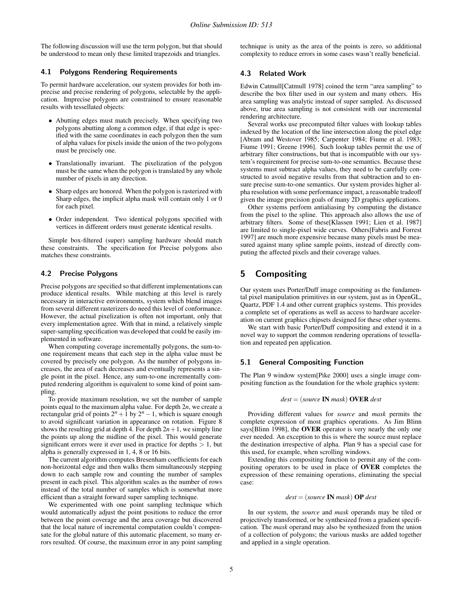The following discussion will use the term polygon, but that should be understood to mean only these limited trapezoids and triangles.

#### 4.1 Polygons Rendering Requirements

To permit hardware acceleration, our system provides for both imprecise and precise rendering of polygons, selectable by the application. Imprecise polygons are constrained to ensure reasonable results with tessellated objects:

- Abutting edges must match precisely. When specifying two polygons abutting along a common edge, if that edge is specified with the same coordinates in each polygon then the sum of alpha values for pixels inside the union of the two polygons must be precisely one.
- Translationally invariant. The pixelization of the polygon must be the same when the polygon is translated by any whole number of pixels in any direction.
- Sharp edges are honored. When the polygon is rasterized with Sharp edges, the implicit alpha mask will contain only 1 or 0 for each pixel.
- Order independent. Two identical polygons specified with vertices in different orders must generate identical results.

Simple box-filtered (super) sampling hardware should match these constraints. The specification for Precise polygons also matches these constraints.

### 4.2 Precise Polygons

Precise polygons are specified so that different implementations can produce identical results. While matching at this level is rarely necessary in interactive environments, system which blend images from several different rasterizers do need this level of conformance. However, the actual pixelization is often not important, only that every implementation agree. With that in mind, a relatively simple super-sampling specification was developed that could be easily implemented in software.

When computing coverage incrementally polygons, the sum-toone requirement means that each step in the alpha value must be covered by precisely one polygon. As the number of polygons increases, the area of each decreases and eventually represents a single point in the pixel. Hence, any sum-to-one incrementally computed rendering algorithm is equivalent to some kind of point sampling.

To provide maximum resolution, we set the number of sample points equal to the maximum alpha value. For depth 2*n*, we create a  $r$  rectangular grid of points  $2^n + 1$  by  $2^n - 1$ , which is square enough to avoid significant variation in appearance on rotation. Figure 8 shows the resulting grid at depth 4. For depth  $2n+1$ , we simply line the points up along the midline of the pixel. This would generate significant errors were it ever used in practice for depths  $> 1$ , but alpha is generally expressed in 1, 4, 8 or 16 bits.

The current algorithm computes Bresenham coefficients for each non-horizontal edge and then walks them simultaneously stepping down to each sample row and counting the number of samples present in each pixel. This algorithm scales as the number of rows instead of the total number of samples which is somewhat more efficient than a straight forward super sampling technique.

We experimented with one point sampling technique which would automatically adjust the point positions to reduce the error between the point coverage and the area coverage but discovered that the local nature of incremental computation couldn't compensate for the global nature of this automatic placement, so many errors resulted. Of course, the maximum error in any point sampling technique is unity as the area of the points is zero, so additional complexity to reduce errors in some cases wasn't really beneficial.

#### 4.3 Related Work

Edwin Catmull[Catmull 1978] coined the term "area sampling" to describe the box filter used in our system and many others. His area sampling was analytic instead of super sampled. As discussed above, true area sampling is not consistent with our incremental rendering architecture.

Several works use precomputed filter values with lookup tables indexed by the location of the line intersection along the pixel edge [Abram and Westover 1985; Carpenter 1984; Fiume et al. 1983; Fiume 1991; Greene 1996]. Such lookup tables permit the use of arbitrary filter constructions, but that is incompatible with our system's requirement for precise sum-to-one semantics. Because these systems must subtract alpha values, they need to be carefully constructed to avoid negative results from that subtraction and to ensure precise sum-to-one semantics. Our system provides higher alpha resolution with some performance impact, a reasonable tradeoff given the image precision goals of many 2D graphics applications.

Other systems perform antialiasing by computing the distance from the pixel to the spline. This approach also allows the use of arbitrary filters. Some of these[Klassen 1991; Lien et al. 1987] are limited to single-pixel wide curves. Others[Fabris and Forrest 1997] are much more expensive because many pixels must be measured against many spline sample points, instead of directly computing the affected pixels and their coverage values.

# 5 Compositing

Our system uses Porter/Duff image compositing as the fundamental pixel manipulation primitives in our system, just as in OpenGL, Quartz, PDF 1.4 and other current graphics systems. This provides a complete set of operations as well as access to hardware acceleration on current graphics chipsets designed for these other systems.

We start with basic Porter/Duff compositing and extend it in a novel way to support the common rendering operations of tessellation and repeated pen application.

#### 5.1 General Compositing Function

The Plan 9 window system[Pike 2000] uses a single image compositing function as the foundation for the whole graphics system:

$$
dest = (source \, \text{IN} \, mask) \, \text{OVER} \, dest
$$

Providing different values for *source* and *mask* permits the complete expression of most graphics operations. As Jim Blinn says[Blinn 1998], the **OVER** operator is very nearly the only one ever needed. An exception to this is where the source must replace the destination irrespective of alpha. Plan 9 has a special case for this used, for example, when scrolling windows.

Extending this compositing function to permit any of the compositing operators to be used in place of **OVER** completes the expression of these remaining operations, eliminating the special case:

$$
dest = (source \, \text{IN} \, mask) \, \text{OP} \, dest
$$

In our system, the *source* and *mask* operands may be tiled or projectively transformed, or be synthesized from a gradient specification. The *mask* operand may also be synthesized from the union of a collection of polygons; the various masks are added together and applied in a single operation.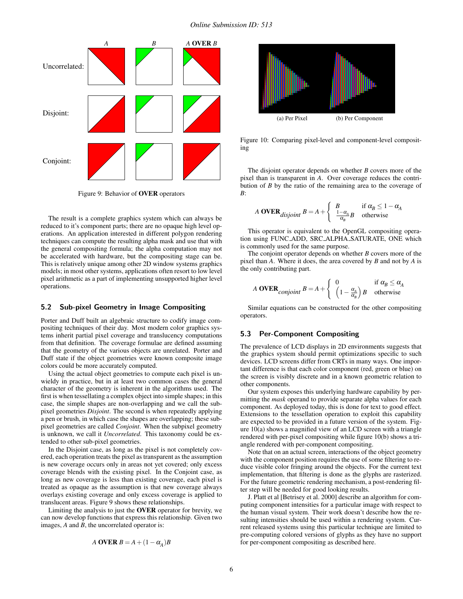

Figure 9: Behavior of **OVER** operators

The result is a complete graphics system which can always be reduced to it's component parts; there are no opaque high level operations. An application interested in different polygon rendering techniques can compute the resulting alpha mask and use that with the general compositing formula; the alpha computation may not be accelerated with hardware, but the compositing stage can be. This is relatively unique among other 2D window systems graphics models; in most other systems, applications often resort to low level pixel arithmetic as a part of implementing unsupported higher level operations.

#### 5.2 Sub-pixel Geometry in Image Compositing

Porter and Duff built an algebraic structure to codify image compositing techniques of their day. Most modern color graphics systems inherit partial pixel coverage and translucency computations from that definition. The coverage formulae are defined assuming that the geometry of the various objects are unrelated. Porter and Duff state if the object geometries were known composite image colors could be more accurately computed.

Using the actual object geometries to compute each pixel is unwieldy in practice, but in at least two common cases the general character of the geometry is inherent in the algorithms used. The first is when tessellating a complex object into simple shapes; in this case, the simple shapes are non-overlapping and we call the subpixel geometries *Disjoint*. The second is when repeatedly applying a pen or brush, in which case the shapes are overlapping; these subpixel geometries are called *Conjoint*. When the subpixel geometry is unknown, we call it *Uncorrelated*. This taxonomy could be extended to other sub-pixel geometries.

In the Disjoint case, as long as the pixel is not completely covered, each operation treats the pixel as transparent as the assumption is new coverage occurs only in areas not yet covered; only excess coverage blends with the existing pixel. In the Conjoint case, as long as new coverage is less than existing coverage, each pixel is treated as opaque as the assumption is that new coverage always overlays existing coverage and only excess coverage is applied to translucent areas. Figure 9 shows these relationships.

Limiting the analysis to just the **OVER** operator for brevity, we can now develop functions that express this relationship. Given two images, *A* and *B*, the uncorrelated operator is:

$$
A OVER B = A + (1 - \alpha_A)B
$$



Figure 10: Comparing pixel-level and component-level compositing

The disjoint operator depends on whether *B* covers more of the pixel than is transparent in *A*. Over coverage reduces the contribution of *B* by the ratio of the remaining area to the coverage of *B*:

A OVER<sub>disjoint</sub> 
$$
B = A + \begin{cases} B & \text{if } \alpha_B \le 1 - \alpha_A \\ \frac{1 - \alpha_A}{\alpha_B} B & \text{otherwise} \end{cases}
$$

This operator is equivalent to the OpenGL compositing operation using FUNC ADD, SRC ALPHA SATURATE, ONE which is commonly used for the same purpose.

The conjoint operator depends on whether *B* covers more of the pixel than *A*. Where it does, the area covered by *B* and not by *A* is the only contributing part.

A OVER<sub>conjoint</sub> 
$$
B = A + \begin{cases} 0 & \text{if } \alpha_B \le \alpha_A \\ \left(1 - \frac{\alpha_A}{\alpha_B}\right)B & \text{otherwise} \end{cases}
$$

Similar equations can be constructed for the other compositing operators.

#### 5.3 Per-Component Compositing

The prevalence of LCD displays in 2D environments suggests that the graphics system should permit optimizations specific to such devices. LCD screens differ from CRTs in many ways. One important difference is that each color component (red, green or blue) on the screen is visibly discrete and in a known geometric relation to other components.

Our system exposes this underlying hardware capability by permitting the *mask* operand to provide separate alpha values for each component. As deployed today, this is done for text to good effect. Extensions to the tessellation operation to exploit this capability are expected to be provided in a future version of the system. Figure 10(a) shows a magnified view of an LCD screen with a triangle rendered with per-pixel compositing while figure 10(b) shows a triangle rendered with per-component compositing.

Note that on an actual screen, interactions of the object geometry with the component position requires the use of some filtering to reduce visible color fringing around the objects. For the current text implementation, that filtering is done as the glyphs are rasterized. For the future geometric rendering mechanism, a post-rendering filter step will be needed for good looking results.

J. Platt et al [Betrisey et al. 2000] describe an algorithm for computing component intensities for a particular image with respect to the human visual system. Their work doesn't describe how the resulting intensities should be used within a rendering system. Current released systems using this particular technique are limited to pre-computing colored versions of glyphs as they have no support for per-component compositing as described here.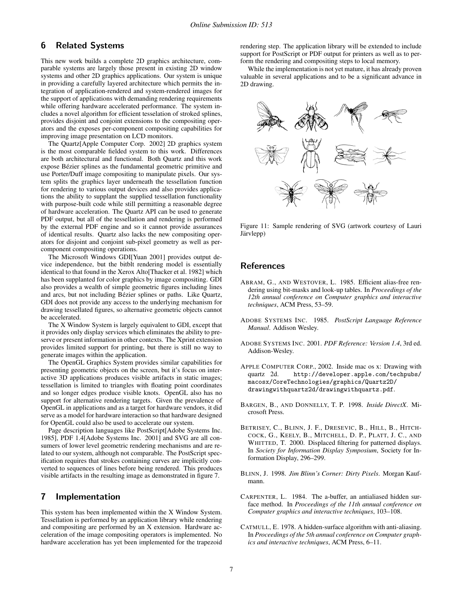# 6 Related Systems

This new work builds a complete 2D graphics architecture, comparable systems are largely those present in existing 2D window systems and other 2D graphics applications. Our system is unique in providing a carefully layered architecture which permits the integration of application-rendered and system-rendered images for the support of applications with demanding rendering requirements while offering hardware accelerated performance. The system includes a novel algorithm for efficient tesselation of stroked splines, provides disjoint and conjoint extensions to the compositing operators and the exposes per-component compositing capabilities for improving image presentation on LCD monitors.

The Quartz[Apple Computer Corp. 2002] 2D graphics system is the most comparable fielded system to this work. Differences are both architectural and functional. Both Quartz and this work expose Bézier splines as the fundamental geometric primitive and use Porter/Duff image compositing to manipulate pixels. Our system splits the graphics layer underneath the tessellation function for rendering to various output devices and also provides applications the ability to supplant the supplied tessellation functionality with purpose-built code while still permitting a reasonable degree of hardware acceleration. The Quartz API can be used to generate PDF output, but all of the tessellation and rendering is performed by the external PDF engine and so it cannot provide assurances of identical results. Quartz also lacks the new compositing operators for disjoint and conjoint sub-pixel geometry as well as percomponent compositing operations.

The Microsoft Windows GDI[Yuan 2001] provides output device independence, but the bitblt rendering model is essentially identical to that found in the Xerox Alto[Thacker et al. 1982] which has been supplanted for color graphics by image compositing. GDI also provides a wealth of simple geometric figures including lines and arcs, but not including Bézier splines or paths. Like Quartz, GDI does not provide any access to the underlying mechanism for drawing tessellated figures, so alternative geometric objects cannot be accelerated.

The X Window System is largely equivalent to GDI, except that it provides only display services which eliminates the ability to preserve or present information in other contexts. The Xprint extension provides limited support for printing, but there is still no way to generate images within the application.

The OpenGL Graphics System provides similar capabilities for presenting geometric objects on the screen, but it's focus on interactive 3D applications produces visible artifacts in static images; tessellation is limited to triangles with floating point coordinates and so longer edges produce visible knots. OpenGL also has no support for alternative rendering targets. Given the prevalence of OpenGL in applications and as a target for hardware vendors, it did serve as a model for hardware interaction so that hardware designed for OpenGL could also be used to accelerate our system.

Page description languages like PostScript[Adobe Systems Inc. 1985], PDF 1.4[Adobe Systems Inc. 2001] and SVG are all consumers of lower level geometric rendering mechanisms and are related to our system, although not comparable. The PostScript specification requires that strokes containing curves are implicitly converted to sequences of lines before being rendered. This produces visible artifacts in the resulting image as demonstrated in figure 7.

## 7 Implementation

This system has been implemented within the X Window System. Tessellation is performed by an application library while rendering and compositing are performed by an X extension. Hardware acceleration of the image compositing operators is implemented. No hardware acceleration has yet been implemented for the trapezoid rendering step. The application library will be extended to include support for PostScript or PDF output for printers as well as to perform the rendering and compositing steps to local memory.

While the implementation is not yet mature, it has already proven valuable in several applications and to be a significant advance in 2D drawing.



Figure 11: Sample rendering of SVG (artwork courtesy of Lauri Järvlepp)

### References

- ABRAM, G., AND WESTOVER, L. 1985. Efficient alias-free rendering using bit-masks and look-up tables. In *Proceedings of the 12th annual conference on Computer graphics and interactive techniques*, ACM Press, 53–59.
- ADOBE SYSTEMS INC. 1985. *PostScript Language Reference Manual*. Addison Wesley.
- ADOBE SYSTEMS INC. 2001. *PDF Reference: Version 1.4*, 3rd ed. Addison-Wesley.
- APPLE COMPUTER CORP., 2002. Inside mac os x: Drawing with quartz 2d. http://developer.apple.com/techpubs/ macosx/CoreTechnologies/graphics/Quartz2D/ drawingwithquartz2d/drawingwithquartz.pdf.
- BARGEN, B., AND DONNELLY, T. P. 1998. *Inside DirectX*. Microsoft Press.
- BETRISEY, C., BLINN, J. F., DRESEVIC, B., HILL, B., HITCH-COCK, G., KEELY, B., MITCHELL, D. P., PLATT, J. C., AND WHITTED, T. 2000. Displaced filtering for patterned displays. In *Society for Information Display Symposium*, Society for Information Display, 296–299.
- BLINN, J. 1998. *Jim Blinn's Corner: Dirty Pixels*. Morgan Kaufmann.
- CARPENTER, L. 1984. The a-buffer, an antialiased hidden surface method. In *Proceedings of the 11th annual conference on Computer graphics and interactive techniques*, 103–108.
- CATMULL, E. 1978. A hidden-surface algorithm with anti-aliasing. In *Proceedings of the 5th annual conference on Computer graphics and interactive techniques*, ACM Press, 6–11.